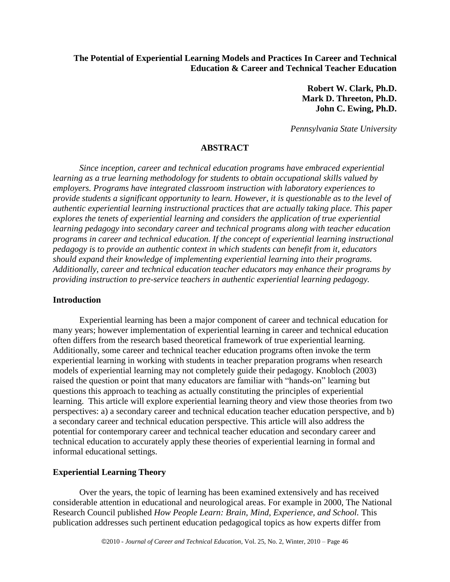# **The Potential of Experiential Learning Models and Practices In Career and Technical Education & Career and Technical Teacher Education**

**Robert W. Clark, Ph.D. Mark D. Threeton, Ph.D. John C. Ewing, Ph.D.**

*Pennsylvania State University*

# **ABSTRACT**

*Since inception, career and technical education programs have embraced experiential learning as a true learning methodology for students to obtain occupational skills valued by employers. Programs have integrated classroom instruction with laboratory experiences to provide students a significant opportunity to learn. However, it is questionable as to the level of authentic experiential learning instructional practices that are actually taking place. This paper explores the tenets of experiential learning and considers the application of true experiential learning pedagogy into secondary career and technical programs along with teacher education programs in career and technical education. If the concept of experiential learning instructional pedagogy is to provide an authentic context in which students can benefit from it, educators should expand their knowledge of implementing experiential learning into their programs. Additionally, career and technical education teacher educators may enhance their programs by providing instruction to pre-service teachers in authentic experiential learning pedagogy.*

### **Introduction**

Experiential learning has been a major component of career and technical education for many years; however implementation of experiential learning in career and technical education often differs from the research based theoretical framework of true experiential learning. Additionally, some career and technical teacher education programs often invoke the term experiential learning in working with students in teacher preparation programs when research models of experiential learning may not completely guide their pedagogy. Knobloch (2003) raised the question or point that many educators are familiar with "hands-on" learning but questions this approach to teaching as actually constituting the principles of experiential learning. This article will explore experiential learning theory and view those theories from two perspectives: a) a secondary career and technical education teacher education perspective, and b) a secondary career and technical education perspective. This article will also address the potential for contemporary career and technical teacher education and secondary career and technical education to accurately apply these theories of experiential learning in formal and informal educational settings.

## **Experiential Learning Theory**

Over the years, the topic of learning has been examined extensively and has received considerable attention in educational and neurological areas. For example in 2000, The National Research Council published *How People Learn: Brain, Mind, Experience, and School.* This publication addresses such pertinent education pedagogical topics as how experts differ from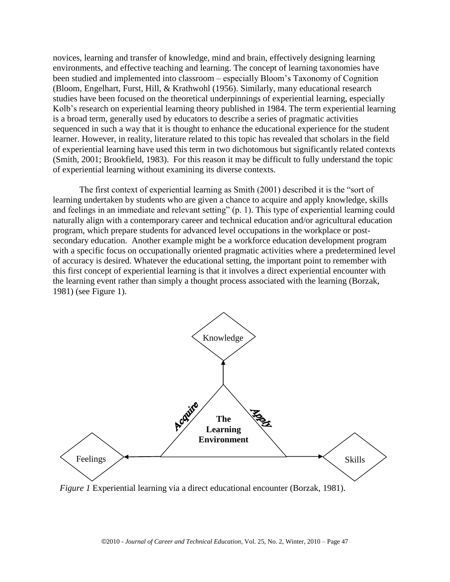novices, learning and transfer of knowledge, mind and brain, effectively designing learning environments, and effective teaching and learning. The concept of learning taxonomies have been studied and implemented into classroom – especially Bloom's Taxonomy of Cognition (Bloom, Engelhart, Furst, Hill, & Krathwohl (1956). Similarly, many educational research studies have been focused on the theoretical underpinnings of experiential learning, especially Kolb's research on experiential learning theory published in 1984. The term experiential learning is a broad term, generally used by educators to describe a series of pragmatic activities sequenced in such a way that it is thought to enhance the educational experience for the student learner. However, in reality, literature related to this topic has revealed that scholars in the field of experiential learning have used this term in two dichotomous but significantly related contexts (Smith, 2001; Brookfield, 1983). For this reason it may be difficult to fully understand the topic of experiential learning without examining its diverse contexts.

The first context of experiential learning as Smith (2001) described it is the "sort of learning undertaken by students who are given a chance to acquire and apply knowledge, skills and feelings in an immediate and relevant setting" (p. 1). This type of experiential learning could naturally align with a contemporary career and technical education and/or agricultural education program, which prepare students for advanced level occupations in the workplace or postsecondary education. Another example might be a workforce education development program with a specific focus on occupationally oriented pragmatic activities where a predetermined level of accuracy is desired. Whatever the educational setting, the important point to remember with this first concept of experiential learning is that it involves a direct experiential encounter with the learning event rather than simply a thought process associated with the learning (Borzak, 1981) (see Figure 1).



*Figure 1* Experiential learning via a direct educational encounter (Borzak, 1981).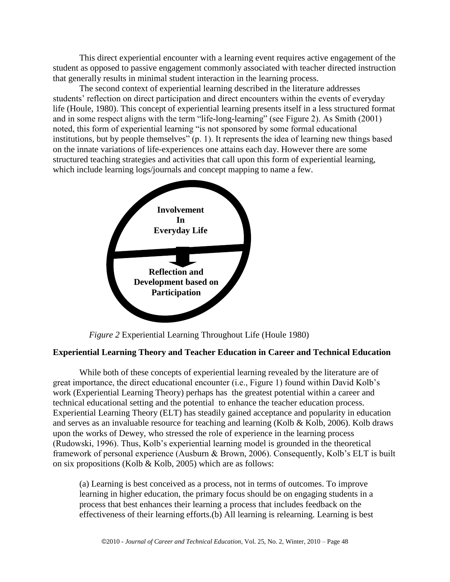This direct experiential encounter with a learning event requires active engagement of the student as opposed to passive engagement commonly associated with teacher directed instruction that generally results in minimal student interaction in the learning process.

The second context of experiential learning described in the literature addresses students' reflection on direct participation and direct encounters within the events of everyday life (Houle, 1980). This concept of experiential learning presents itself in a less structured format and in some respect aligns with the term "life-long-learning" (see Figure 2). As Smith  $(2001)$ noted, this form of experiential learning "is not sponsored by some formal educational institutions, but by people themselves"  $(p, 1)$ . It represents the idea of learning new things based on the innate variations of life-experiences one attains each day. However there are some structured teaching strategies and activities that call upon this form of experiential learning, which include learning logs/journals and concept mapping to name a few.



*Figure 2* Experiential Learning Throughout Life (Houle 1980)

# **Experiential Learning Theory and Teacher Education in Career and Technical Education**

While both of these concepts of experiential learning revealed by the literature are of great importance, the direct educational encounter (i.e., Figure 1) found within David Kolb's work (Experiential Learning Theory) perhaps has the greatest potential within a career and technical educational setting and the potential to enhance the teacher education process. Experiential Learning Theory (ELT) has steadily gained acceptance and popularity in education and serves as an invaluable resource for teaching and learning (Kolb & Kolb, 2006). Kolb draws upon the works of Dewey, who stressed the role of experience in the learning process (Rudowski, 1996). Thus, Kolb's experiential learning model is grounded in the theoretical framework of personal experience (Ausburn & Brown, 2006). Consequently, Kolb's ELT is built on six propositions (Kolb & Kolb, 2005) which are as follows:

(a) Learning is best conceived as a process, not in terms of outcomes. To improve learning in higher education, the primary focus should be on engaging students in a process that best enhances their learning a process that includes feedback on the effectiveness of their learning efforts.(b) All learning is relearning. Learning is best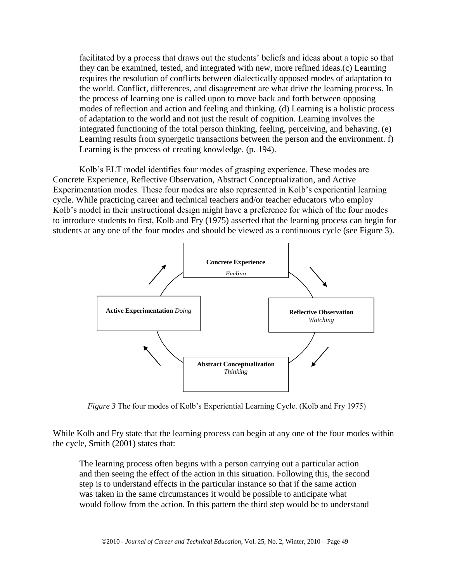facilitated by a process that draws out the students' beliefs and ideas about a topic so that they can be examined, tested, and integrated with new, more refined ideas.(c) Learning requires the resolution of conflicts between dialectically opposed modes of adaptation to the world. Conflict, differences, and disagreement are what drive the learning process. In the process of learning one is called upon to move back and forth between opposing modes of reflection and action and feeling and thinking. (d) Learning is a holistic process of adaptation to the world and not just the result of cognition. Learning involves the integrated functioning of the total person thinking, feeling, perceiving, and behaving. (e) Learning results from synergetic transactions between the person and the environment. f) Learning is the process of creating knowledge. (p. 194).

Kolb's ELT model identifies four modes of grasping experience. These modes are Concrete Experience, Reflective Observation, Abstract Conceptualization, and Active Experimentation modes. These four modes are also represented in Kolb's experiential learning cycle. While practicing career and technical teachers and/or teacher educators who employ Kolb's model in their instructional design might have a preference for which of the four modes to introduce students to first, Kolb and Fry (1975) asserted that the learning process can begin for students at any one of the four modes and should be viewed as a continuous cycle (see Figure 3).



*Figure 3* The four modes of Kolb's Experiential Learning Cycle. (Kolb and Fry 1975)

While Kolb and Fry state that the learning process can begin at any one of the four modes within the cycle, Smith (2001) states that:

The learning process often begins with a person carrying out a particular action and then seeing the effect of the action in this situation. Following this, the second step is to understand effects in the particular instance so that if the same action was taken in the same circumstances it would be possible to anticipate what would follow from the action. In this pattern the third step would be to understand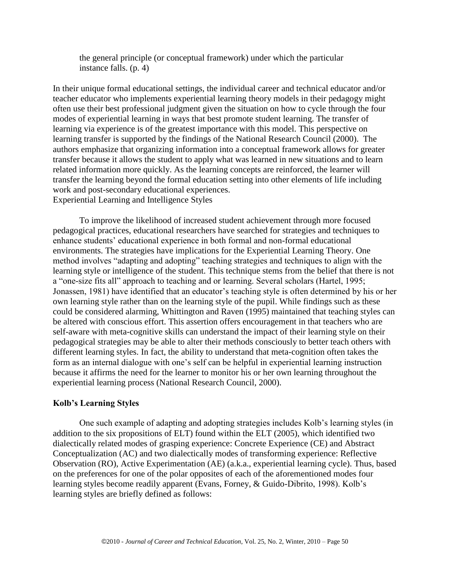the general principle (or conceptual framework) under which the particular instance falls. (p. 4)

In their unique formal educational settings, the individual career and technical educator and/or teacher educator who implements experiential learning theory models in their pedagogy might often use their best professional judgment given the situation on how to cycle through the four modes of experiential learning in ways that best promote student learning. The transfer of learning via experience is of the greatest importance with this model. This perspective on learning transfer is supported by the findings of the National Research Council (2000). The authors emphasize that organizing information into a conceptual framework allows for greater transfer because it allows the student to apply what was learned in new situations and to learn related information more quickly. As the learning concepts are reinforced, the learner will transfer the learning beyond the formal education setting into other elements of life including work and post-secondary educational experiences. Experiential Learning and Intelligence Styles

To improve the likelihood of increased student achievement through more focused pedagogical practices, educational researchers have searched for strategies and techniques to enhance students' educational experience in both formal and non-formal educational environments. The strategies have implications for the Experiential Learning Theory. One method involves "adapting and adopting" teaching strategies and techniques to align with the learning style or intelligence of the student. This technique stems from the belief that there is not a "one-size fits all" approach to teaching and or learning. Several scholars (Hartel, 1995; Jonassen, 1981) have identified that an educator's teaching style is often determined by his or her own learning style rather than on the learning style of the pupil. While findings such as these could be considered alarming, Whittington and Raven (1995) maintained that teaching styles can be altered with conscious effort. This assertion offers encouragement in that teachers who are self-aware with meta-cognitive skills can understand the impact of their learning style on their pedagogical strategies may be able to alter their methods consciously to better teach others with different learning styles. In fact, the ability to understand that meta-cognition often takes the form as an internal dialogue with one's self can be helpful in experiential learning instruction because it affirms the need for the learner to monitor his or her own learning throughout the experiential learning process (National Research Council, 2000).

# **Kolb's Learning Styles**

One such example of adapting and adopting strategies includes Kolb's learning styles (in addition to the six propositions of ELT) found within the ELT (2005), which identified two dialectically related modes of grasping experience: Concrete Experience (CE) and Abstract Conceptualization (AC) and two dialectically modes of transforming experience: Reflective Observation (RO), Active Experimentation (AE) (a.k.a., experiential learning cycle). Thus, based on the preferences for one of the polar opposites of each of the aforementioned modes four learning styles become readily apparent (Evans, Forney, & Guido-Dibrito, 1998). Kolb's learning styles are briefly defined as follows: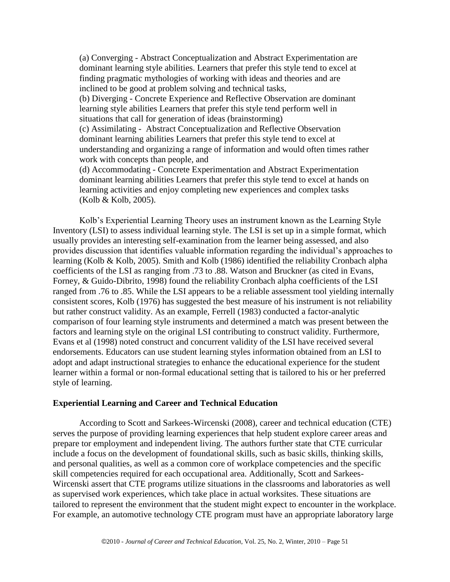(a) Converging - Abstract Conceptualization and Abstract Experimentation are dominant learning style abilities. Learners that prefer this style tend to excel at finding pragmatic mythologies of working with ideas and theories and are inclined to be good at problem solving and technical tasks,

(b) Diverging - Concrete Experience and Reflective Observation are dominant learning style abilities Learners that prefer this style tend perform well in situations that call for generation of ideas (brainstorming)

(c) Assimilating - Abstract Conceptualization and Reflective Observation dominant learning abilities Learners that prefer this style tend to excel at understanding and organizing a range of information and would often times rather work with concepts than people, and

(d) Accommodating - Concrete Experimentation and Abstract Experimentation dominant learning abilities Learners that prefer this style tend to excel at hands on learning activities and enjoy completing new experiences and complex tasks (Kolb & Kolb, 2005).

Kolb's Experiential Learning Theory uses an instrument known as the Learning Style Inventory (LSI) to assess individual learning style. The LSI is set up in a simple format, which usually provides an interesting self-examination from the learner being assessed, and also provides discussion that identifies valuable information regarding the individual's approaches to learning (Kolb & Kolb, 2005). Smith and Kolb (1986) identified the reliability Cronbach alpha coefficients of the LSI as ranging from .73 to .88. Watson and Bruckner (as cited in Evans, Forney, & Guido-Dibrito, 1998) found the reliability Cronbach alpha coefficients of the LSI ranged from .76 to .85. While the LSI appears to be a reliable assessment tool yielding internally consistent scores, Kolb (1976) has suggested the best measure of his instrument is not reliability but rather construct validity. As an example, Ferrell (1983) conducted a factor-analytic comparison of four learning style instruments and determined a match was present between the factors and learning style on the original LSI contributing to construct validity. Furthermore, Evans et al (1998) noted construct and concurrent validity of the LSI have received several endorsements. Educators can use student learning styles information obtained from an LSI to adopt and adapt instructional strategies to enhance the educational experience for the student learner within a formal or non-formal educational setting that is tailored to his or her preferred style of learning.

#### **Experiential Learning and Career and Technical Education**

According to Scott and Sarkees-Wircenski (2008), career and technical education (CTE) serves the purpose of providing learning experiences that help student explore career areas and prepare tor employment and independent living. The authors further state that CTE curricular include a focus on the development of foundational skills, such as basic skills, thinking skills, and personal qualities, as well as a common core of workplace competencies and the specific skill competencies required for each occupational area. Additionally, Scott and Sarkees-Wircenski assert that CTE programs utilize situations in the classrooms and laboratories as well as supervised work experiences, which take place in actual worksites. These situations are tailored to represent the environment that the student might expect to encounter in the workplace. For example, an automotive technology CTE program must have an appropriate laboratory large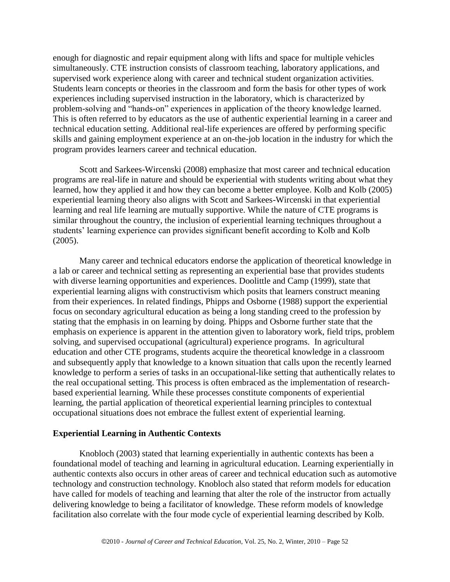enough for diagnostic and repair equipment along with lifts and space for multiple vehicles simultaneously. CTE instruction consists of classroom teaching, laboratory applications, and supervised work experience along with career and technical student organization activities. Students learn concepts or theories in the classroom and form the basis for other types of work experiences including supervised instruction in the laboratory, which is characterized by problem-solving and "hands-on" experiences in application of the theory knowledge learned. This is often referred to by educators as the use of authentic experiential learning in a career and technical education setting. Additional real-life experiences are offered by performing specific skills and gaining employment experience at an on-the-job location in the industry for which the program provides learners career and technical education.

Scott and Sarkees-Wircenski (2008) emphasize that most career and technical education programs are real-life in nature and should be experiential with students writing about what they learned, how they applied it and how they can become a better employee. Kolb and Kolb (2005) experiential learning theory also aligns with Scott and Sarkees-Wircenski in that experiential learning and real life learning are mutually supportive. While the nature of CTE programs is similar throughout the country, the inclusion of experiential learning techniques throughout a students' learning experience can provides significant benefit according to Kolb and Kolb (2005).

Many career and technical educators endorse the application of theoretical knowledge in a lab or career and technical setting as representing an experiential base that provides students with diverse learning opportunities and experiences. Doolittle and Camp (1999), state that experiential learning aligns with constructivism which posits that learners construct meaning from their experiences. In related findings, Phipps and Osborne (1988) support the experiential focus on secondary agricultural education as being a long standing creed to the profession by stating that the emphasis in on learning by doing. Phipps and Osborne further state that the emphasis on experience is apparent in the attention given to laboratory work, field trips, problem solving, and supervised occupational (agricultural) experience programs. In agricultural education and other CTE programs, students acquire the theoretical knowledge in a classroom and subsequently apply that knowledge to a known situation that calls upon the recently learned knowledge to perform a series of tasks in an occupational-like setting that authentically relates to the real occupational setting. This process is often embraced as the implementation of researchbased experiential learning. While these processes constitute components of experiential learning, the partial application of theoretical experiential learning principles to contextual occupational situations does not embrace the fullest extent of experiential learning.

## **Experiential Learning in Authentic Contexts**

Knobloch (2003) stated that learning experientially in authentic contexts has been a foundational model of teaching and learning in agricultural education. Learning experientially in authentic contexts also occurs in other areas of career and technical education such as automotive technology and construction technology. Knobloch also stated that reform models for education have called for models of teaching and learning that alter the role of the instructor from actually delivering knowledge to being a facilitator of knowledge. These reform models of knowledge facilitation also correlate with the four mode cycle of experiential learning described by Kolb.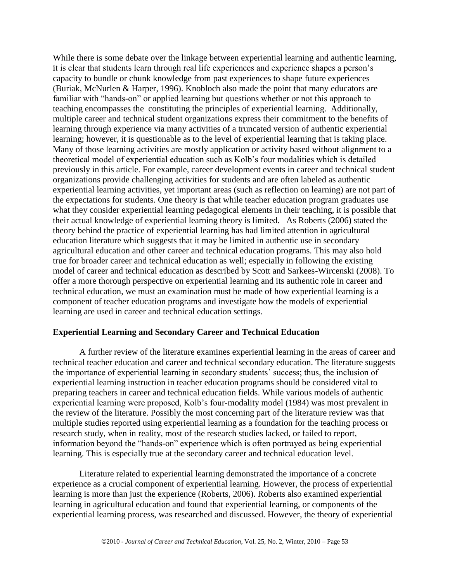While there is some debate over the linkage between experiential learning and authentic learning, it is clear that students learn through real life experiences and experience shapes a person's capacity to bundle or chunk knowledge from past experiences to shape future experiences (Buriak, McNurlen & Harper, 1996). Knobloch also made the point that many educators are familiar with "hands-on" or applied learning but questions whether or not this approach to teaching encompasses the constituting the principles of experiential learning. Additionally, multiple career and technical student organizations express their commitment to the benefits of learning through experience via many activities of a truncated version of authentic experiential learning; however, it is questionable as to the level of experiential learning that is taking place. Many of those learning activities are mostly application or activity based without alignment to a theoretical model of experiential education such as Kolb's four modalities which is detailed previously in this article. For example, career development events in career and technical student organizations provide challenging activities for students and are often labeled as authentic experiential learning activities, yet important areas (such as reflection on learning) are not part of the expectations for students. One theory is that while teacher education program graduates use what they consider experiential learning pedagogical elements in their teaching, it is possible that their actual knowledge of experiential learning theory is limited. As Roberts (2006) stated the theory behind the practice of experiential learning has had limited attention in agricultural education literature which suggests that it may be limited in authentic use in secondary agricultural education and other career and technical education programs. This may also hold true for broader career and technical education as well; especially in following the existing model of career and technical education as described by Scott and Sarkees-Wircenski (2008). To offer a more thorough perspective on experiential learning and its authentic role in career and technical education, we must an examination must be made of how experiential learning is a component of teacher education programs and investigate how the models of experiential learning are used in career and technical education settings.

## **Experiential Learning and Secondary Career and Technical Education**

A further review of the literature examines experiential learning in the areas of career and technical teacher education and career and technical secondary education. The literature suggests the importance of experiential learning in secondary students' success; thus, the inclusion of experiential learning instruction in teacher education programs should be considered vital to preparing teachers in career and technical education fields. While various models of authentic experiential learning were proposed, Kolb's four-modality model (1984) was most prevalent in the review of the literature. Possibly the most concerning part of the literature review was that multiple studies reported using experiential learning as a foundation for the teaching process or research study, when in reality, most of the research studies lacked, or failed to report, information beyond the "hands-on" experience which is often portrayed as being experiential learning. This is especially true at the secondary career and technical education level.

Literature related to experiential learning demonstrated the importance of a concrete experience as a crucial component of experiential learning. However, the process of experiential learning is more than just the experience (Roberts, 2006). Roberts also examined experiential learning in agricultural education and found that experiential learning, or components of the experiential learning process, was researched and discussed. However, the theory of experiential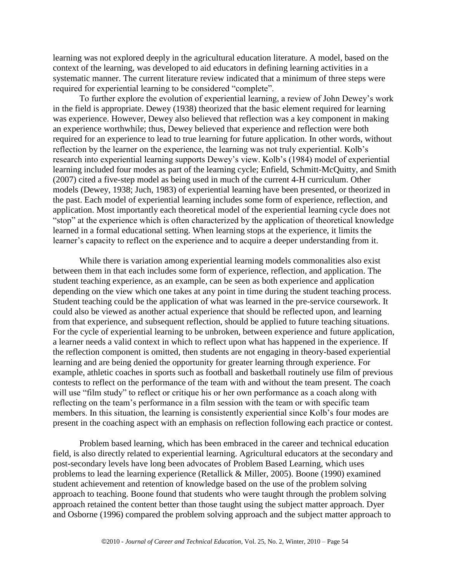learning was not explored deeply in the agricultural education literature. A model, based on the context of the learning, was developed to aid educators in defining learning activities in a systematic manner. The current literature review indicated that a minimum of three steps were required for experiential learning to be considered "complete".

To further explore the evolution of experiential learning, a review of John Dewey's work in the field is appropriate. Dewey (1938) theorized that the basic element required for learning was experience. However, Dewey also believed that reflection was a key component in making an experience worthwhile; thus, Dewey believed that experience and reflection were both required for an experience to lead to true learning for future application. In other words, without reflection by the learner on the experience, the learning was not truly experiential. Kolb's research into experiential learning supports Dewey's view. Kolb's (1984) model of experiential learning included four modes as part of the learning cycle; Enfield, Schmitt-McQuitty, and Smith (2007) cited a five-step model as being used in much of the current 4-H curriculum. Other models (Dewey, 1938; Juch, 1983) of experiential learning have been presented, or theorized in the past. Each model of experiential learning includes some form of experience, reflection, and application. Most importantly each theoretical model of the experiential learning cycle does not ―stop‖ at the experience which is often characterized by the application of theoretical knowledge learned in a formal educational setting. When learning stops at the experience, it limits the learner's capacity to reflect on the experience and to acquire a deeper understanding from it.

While there is variation among experiential learning models commonalities also exist between them in that each includes some form of experience, reflection, and application. The student teaching experience, as an example, can be seen as both experience and application depending on the view which one takes at any point in time during the student teaching process. Student teaching could be the application of what was learned in the pre-service coursework. It could also be viewed as another actual experience that should be reflected upon, and learning from that experience, and subsequent reflection, should be applied to future teaching situations. For the cycle of experiential learning to be unbroken, between experience and future application, a learner needs a valid context in which to reflect upon what has happened in the experience. If the reflection component is omitted, then students are not engaging in theory-based experiential learning and are being denied the opportunity for greater learning through experience. For example, athletic coaches in sports such as football and basketball routinely use film of previous contests to reflect on the performance of the team with and without the team present. The coach will use "film study" to reflect or critique his or her own performance as a coach along with reflecting on the team's performance in a film session with the team or with specific team members. In this situation, the learning is consistently experiential since Kolb's four modes are present in the coaching aspect with an emphasis on reflection following each practice or contest.

Problem based learning, which has been embraced in the career and technical education field, is also directly related to experiential learning. Agricultural educators at the secondary and post-secondary levels have long been advocates of Problem Based Learning, which uses problems to lead the learning experience (Retallick & Miller, 2005). Boone (1990) examined student achievement and retention of knowledge based on the use of the problem solving approach to teaching. Boone found that students who were taught through the problem solving approach retained the content better than those taught using the subject matter approach. Dyer and Osborne (1996) compared the problem solving approach and the subject matter approach to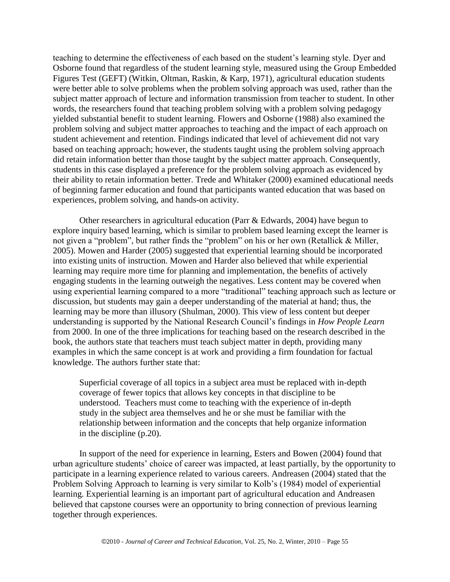teaching to determine the effectiveness of each based on the student's learning style. Dyer and Osborne found that regardless of the student learning style, measured using the Group Embedded Figures Test (GEFT) (Witkin, Oltman, Raskin, & Karp, 1971), agricultural education students were better able to solve problems when the problem solving approach was used, rather than the subject matter approach of lecture and information transmission from teacher to student. In other words, the researchers found that teaching problem solving with a problem solving pedagogy yielded substantial benefit to student learning. Flowers and Osborne (1988) also examined the problem solving and subject matter approaches to teaching and the impact of each approach on student achievement and retention. Findings indicated that level of achievement did not vary based on teaching approach; however, the students taught using the problem solving approach did retain information better than those taught by the subject matter approach. Consequently, students in this case displayed a preference for the problem solving approach as evidenced by their ability to retain information better. Trede and Whitaker (2000) examined educational needs of beginning farmer education and found that participants wanted education that was based on experiences, problem solving, and hands-on activity.

Other researchers in agricultural education (Parr & Edwards, 2004) have begun to explore inquiry based learning, which is similar to problem based learning except the learner is not given a "problem", but rather finds the "problem" on his or her own (Retallick & Miller, 2005). Mowen and Harder (2005) suggested that experiential learning should be incorporated into existing units of instruction. Mowen and Harder also believed that while experiential learning may require more time for planning and implementation, the benefits of actively engaging students in the learning outweigh the negatives. Less content may be covered when using experiential learning compared to a more "traditional" teaching approach such as lecture or discussion, but students may gain a deeper understanding of the material at hand; thus, the learning may be more than illusory (Shulman, 2000). This view of less content but deeper understanding is supported by the National Research Council's findings in *How People Learn* from 2000. In one of the three implications for teaching based on the research described in the book, the authors state that teachers must teach subject matter in depth, providing many examples in which the same concept is at work and providing a firm foundation for factual knowledge. The authors further state that:

Superficial coverage of all topics in a subject area must be replaced with in-depth coverage of fewer topics that allows key concepts in that discipline to be understood. Teachers must come to teaching with the experience of in-depth study in the subject area themselves and he or she must be familiar with the relationship between information and the concepts that help organize information in the discipline (p.20).

In support of the need for experience in learning, Esters and Bowen (2004) found that urban agriculture students' choice of career was impacted, at least partially, by the opportunity to participate in a learning experience related to various careers. Andreasen (2004) stated that the Problem Solving Approach to learning is very similar to Kolb's (1984) model of experiential learning. Experiential learning is an important part of agricultural education and Andreasen believed that capstone courses were an opportunity to bring connection of previous learning together through experiences.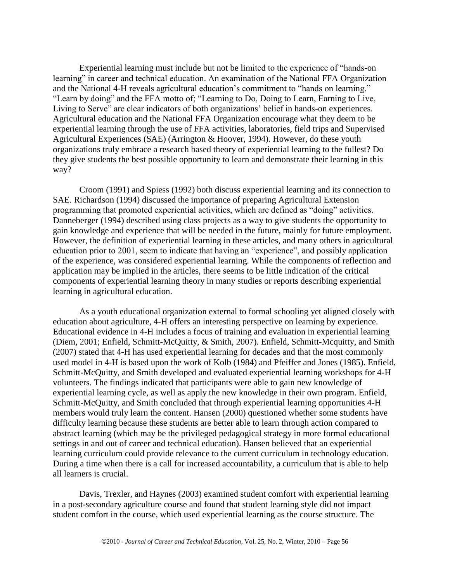Experiential learning must include but not be limited to the experience of "hands-on" learning" in career and technical education. An examination of the National FFA Organization and the National 4-H reveals agricultural education's commitment to "hands on learning." "Learn by doing" and the FFA motto of; "Learning to Do, Doing to Learn, Earning to Live, Living to Serve" are clear indicators of both organizations' belief in hands-on experiences. Agricultural education and the National FFA Organization encourage what they deem to be experiential learning through the use of FFA activities, laboratories, field trips and Supervised Agricultural Experiences (SAE) (Arrington & Hoover, 1994). However, do these youth organizations truly embrace a research based theory of experiential learning to the fullest? Do they give students the best possible opportunity to learn and demonstrate their learning in this way?

Croom (1991) and Spiess (1992) both discuss experiential learning and its connection to SAE. Richardson (1994) discussed the importance of preparing Agricultural Extension programming that promoted experiential activities, which are defined as "doing" activities. Danneberger (1994) described using class projects as a way to give students the opportunity to gain knowledge and experience that will be needed in the future, mainly for future employment. However, the definition of experiential learning in these articles, and many others in agricultural education prior to 2001, seem to indicate that having an "experience", and possibly application of the experience, was considered experiential learning. While the components of reflection and application may be implied in the articles, there seems to be little indication of the critical components of experiential learning theory in many studies or reports describing experiential learning in agricultural education.

As a youth educational organization external to formal schooling yet aligned closely with education about agriculture, 4-H offers an interesting perspective on learning by experience. Educational evidence in 4-H includes a focus of training and evaluation in experiential learning (Diem, 2001; Enfield, Schmitt-McQuitty, & Smith, 2007). Enfield, Schmitt-Mcquitty, and Smith (2007) stated that 4-H has used experiential learning for decades and that the most commonly used model in 4-H is based upon the work of Kolb (1984) and Pfeiffer and Jones (1985). Enfield, Schmitt-McQuitty, and Smith developed and evaluated experiential learning workshops for 4-H volunteers. The findings indicated that participants were able to gain new knowledge of experiential learning cycle, as well as apply the new knowledge in their own program. Enfield, Schmitt-McQuitty, and Smith concluded that through experiential learning opportunities 4-H members would truly learn the content. Hansen (2000) questioned whether some students have difficulty learning because these students are better able to learn through action compared to abstract learning (which may be the privileged pedagogical strategy in more formal educational settings in and out of career and technical education). Hansen believed that an experiential learning curriculum could provide relevance to the current curriculum in technology education. During a time when there is a call for increased accountability, a curriculum that is able to help all learners is crucial.

Davis, Trexler, and Haynes (2003) examined student comfort with experiential learning in a post-secondary agriculture course and found that student learning style did not impact student comfort in the course, which used experiential learning as the course structure. The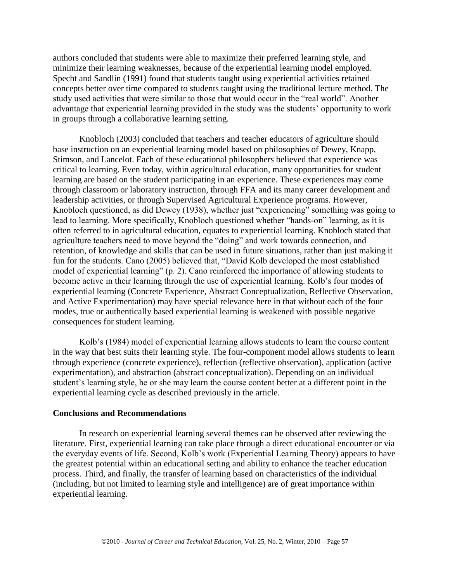authors concluded that students were able to maximize their preferred learning style, and minimize their learning weaknesses, because of the experiential learning model employed. Specht and Sandlin (1991) found that students taught using experiential activities retained concepts better over time compared to students taught using the traditional lecture method. The study used activities that were similar to those that would occur in the "real world". Another advantage that experiential learning provided in the study was the students' opportunity to work in groups through a collaborative learning setting.

Knobloch (2003) concluded that teachers and teacher educators of agriculture should base instruction on an experiential learning model based on philosophies of Dewey, Knapp, Stimson, and Lancelot. Each of these educational philosophers believed that experience was critical to learning. Even today, within agricultural education, many opportunities for student learning are based on the student participating in an experience. These experiences may come through classroom or laboratory instruction, through FFA and its many career development and leadership activities, or through Supervised Agricultural Experience programs. However, Knobloch questioned, as did Dewey (1938), whether just "experiencing" something was going to lead to learning. More specifically, Knobloch questioned whether "hands-on" learning, as it is often referred to in agricultural education, equates to experiential learning. Knobloch stated that agriculture teachers need to move beyond the "doing" and work towards connection, and retention, of knowledge and skills that can be used in future situations, rather than just making it fun for the students. Cano (2005) believed that, "David Kolb developed the most established model of experiential learning" (p. 2). Cano reinforced the importance of allowing students to become active in their learning through the use of experiential learning. Kolb's four modes of experiential learning (Concrete Experience, Abstract Conceptualization, Reflective Observation, and Active Experimentation) may have special relevance here in that without each of the four modes, true or authentically based experiential learning is weakened with possible negative consequences for student learning.

Kolb's (1984) model of experiential learning allows students to learn the course content in the way that best suits their learning style. The four-component model allows students to learn through experience (concrete experience), reflection (reflective observation), application (active experimentation), and abstraction (abstract conceptualization). Depending on an individual student's learning style, he or she may learn the course content better at a different point in the experiential learning cycle as described previously in the article.

#### **Conclusions and Recommendations**

In research on experiential learning several themes can be observed after reviewing the literature. First, experiential learning can take place through a direct educational encounter or via the everyday events of life. Second, Kolb's work (Experiential Learning Theory) appears to have the greatest potential within an educational setting and ability to enhance the teacher education process. Third, and finally, the transfer of learning based on characteristics of the individual (including, but not limited to learning style and intelligence) are of great importance within experiential learning.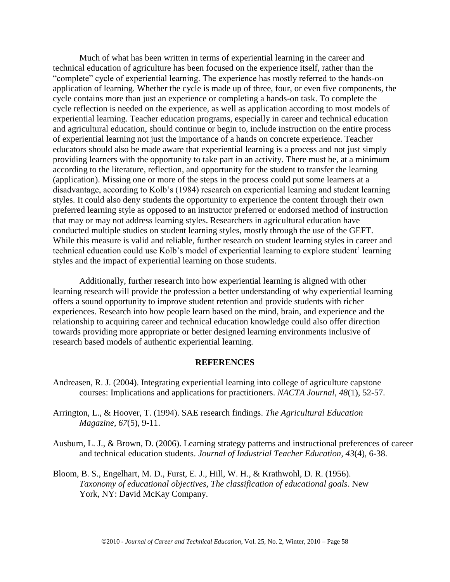Much of what has been written in terms of experiential learning in the career and technical education of agriculture has been focused on the experience itself, rather than the "complete" cycle of experiential learning. The experience has mostly referred to the hands-on application of learning. Whether the cycle is made up of three, four, or even five components, the cycle contains more than just an experience or completing a hands-on task. To complete the cycle reflection is needed on the experience, as well as application according to most models of experiential learning. Teacher education programs, especially in career and technical education and agricultural education, should continue or begin to, include instruction on the entire process of experiential learning not just the importance of a hands on concrete experience. Teacher educators should also be made aware that experiential learning is a process and not just simply providing learners with the opportunity to take part in an activity. There must be, at a minimum according to the literature, reflection, and opportunity for the student to transfer the learning (application). Missing one or more of the steps in the process could put some learners at a disadvantage, according to Kolb's (1984) research on experiential learning and student learning styles. It could also deny students the opportunity to experience the content through their own preferred learning style as opposed to an instructor preferred or endorsed method of instruction that may or may not address learning styles. Researchers in agricultural education have conducted multiple studies on student learning styles, mostly through the use of the GEFT. While this measure is valid and reliable, further research on student learning styles in career and technical education could use Kolb's model of experiential learning to explore student' learning styles and the impact of experiential learning on those students.

Additionally, further research into how experiential learning is aligned with other learning research will provide the profession a better understanding of why experiential learning offers a sound opportunity to improve student retention and provide students with richer experiences. Research into how people learn based on the mind, brain, and experience and the relationship to acquiring career and technical education knowledge could also offer direction towards providing more appropriate or better designed learning environments inclusive of research based models of authentic experiential learning.

#### **REFERENCES**

- Andreasen, R. J. (2004). Integrating experiential learning into college of agriculture capstone courses: Implications and applications for practitioners. *NACTA Journal, 48*(1), 52-57.
- Arrington, L., & Hoover, T. (1994). SAE research findings. *The Agricultural Education Magazine, 67*(5), 9-11.
- Ausburn, L. J., & Brown, D. (2006). Learning strategy patterns and instructional preferences of career and technical education students. *Journal of Industrial Teacher Education, 43*(4), 6-38.
- Bloom, B. S., Engelhart, M. D., Furst, E. J., Hill, W. H., & Krathwohl, D. R. (1956). *Taxonomy of educational objectives, The classification of educational goals*. New York, NY: David McKay Company.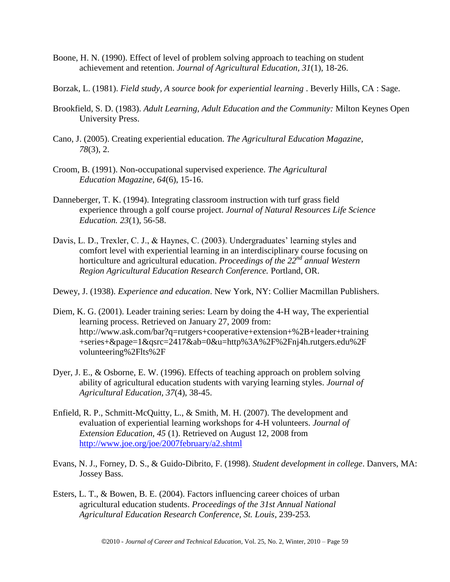- Boone, H. N. (1990). Effect of level of problem solving approach to teaching on student achievement and retention. *Journal of Agricultural Education, 31*(1), 18-26.
- Borzak, L. (1981). *Field study, A source book for experiential learning* . Beverly Hills, CA : Sage.
- Brookfield, S. D. (1983). *Adult Learning, Adult Education and the Community:* Milton Keynes Open University Press.
- Cano, J. (2005). Creating experiential education. *The Agricultural Education Magazine, 78*(3), 2.
- Croom, B. (1991). Non-occupational supervised experience. *The Agricultural Education Magazine, 64*(6), 15-16.
- Danneberger, T. K. (1994). Integrating classroom instruction with turf grass field experience through a golf course project. *Journal of Natural Resources Life Science Education. 23*(1), 56-58.
- Davis, L. D., Trexler, C. J., & Haynes, C. (2003). Undergraduates' learning styles and comfort level with experiential learning in an interdisciplinary course focusing on horticulture and agricultural education. *Proceedings of the 22nd annual Western Region Agricultural Education Research Conference.* Portland, OR.
- Dewey, J. (1938). *Experience and education*. New York, NY: Collier Macmillan Publishers.
- Diem, K. G. (2001). Leader training series: Learn by doing the 4-H way, The experiential learning process. Retrieved on January 27, 2009 from: http://www.ask.com/bar?q=rutgers+cooperative+extension+%2B+leader+training +series+&page=1&qsrc=2417&ab=0&u=http%3A%2F%2Fnj4h.rutgers.edu%2F volunteering%2Flts%2F
- Dyer, J. E., & Osborne, E. W. (1996). Effects of teaching approach on problem solving ability of agricultural education students with varying learning styles. *Journal of Agricultural Education, 37*(4), 38-45.
- Enfield, R. P., Schmitt-McQuitty, L., & Smith, M. H. (2007). The development and evaluation of experiential learning workshops for 4-H volunteers. *Journal of Extension Education, 45* (1). Retrieved on August 12, 2008 from <http://www.joe.org/joe/2007february/a2.shtml>
- Evans, N. J., Forney, D. S., & Guido-Dibrito, F. (1998). *Student development in college*. Danvers, MA: Jossey Bass.
- Esters, L. T., & Bowen, B. E. (2004). Factors influencing career choices of urban agricultural education students. *Proceedings of the 31st Annual National Agricultural Education Research Conference, St. Louis*, 239-253*.*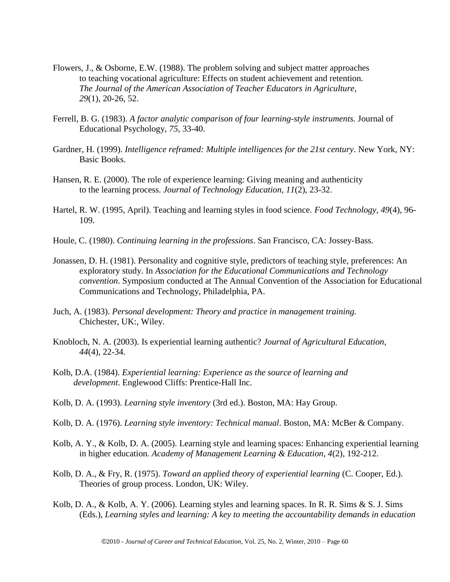- Flowers, J., & Osborne, E.W. (1988). The problem solving and subject matter approaches to teaching vocational agriculture: Effects on student achievement and retention. *The Journal of the American Association of Teacher Educators in Agriculture, 29*(1), 20-26, 52.
- Ferrell, B. G. (1983). *A factor analytic comparison of four learning-style instruments.* Journal of Educational Psychology, *75*, 33-40.
- Gardner, H. (1999). *Intelligence reframed: Multiple intelligences for the 21st century*. New York, NY: Basic Books.
- Hansen, R. E. (2000). The role of experience learning: Giving meaning and authenticity to the learning process. *Journal of Technology Education, 11*(2), 23-32.
- Hartel, R. W. (1995, April). Teaching and learning styles in food science. *Food Technology, 49*(4), 96- 109.
- Houle, C. (1980). *Continuing learning in the professions*. San Francisco, CA: Jossey-Bass.
- Jonassen, D. H. (1981). Personality and cognitive style, predictors of teaching style, preferences: An exploratory study. In *Association for the Educational Communications and Technology convention*. Symposium conducted at The Annual Convention of the Association for Educational Communications and Technology, Philadelphia, PA.
- Juch, A. (1983). *Personal development: Theory and practice in management training.* Chichester, UK:, Wiley.
- Knobloch, N. A. (2003). Is experiential learning authentic? *Journal of Agricultural Education, 44*(4), 22-34.
- Kolb, D.A. (1984). *Experiential learning: Experience as the source of learning and development*. Englewood Cliffs: Prentice-Hall Inc.
- Kolb, D. A. (1993). *Learning style inventory* (3rd ed.). Boston, MA: Hay Group.
- Kolb, D. A. (1976). *Learning style inventory: Technical manual*. Boston, MA: McBer & Company.
- Kolb, A. Y., & Kolb, D. A. (2005). Learning style and learning spaces: Enhancing experiential learning in higher education. *Academy of Management Learning & Education, 4*(2), 192-212.
- Kolb, D. A., & Fry, R. (1975). *Toward an applied theory of experiential learning* (C. Cooper, Ed.). Theories of group process. London, UK: Wiley.
- Kolb, D. A., & Kolb, A. Y. (2006). Learning styles and learning spaces. In R. R. Sims & S. J. Sims (Eds.), *Learning styles and learning: A key to meeting the accountability demands in education*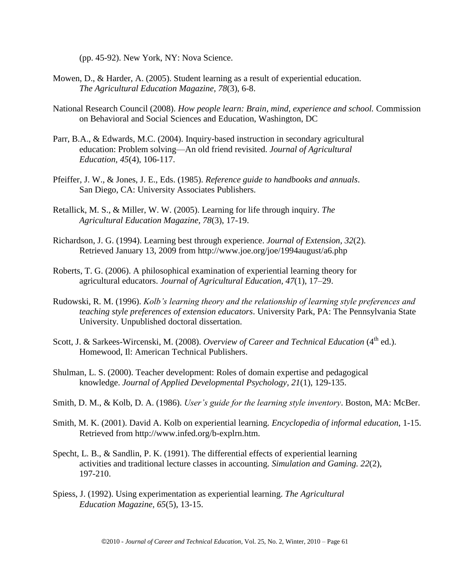(pp. 45-92). New York, NY: Nova Science.

- Mowen, D., & Harder, A. (2005). Student learning as a result of experiential education. *The Agricultural Education Magazine, 78*(3), 6-8.
- National Research Council (2008). *How people learn: Brain, mind, experience and school.* Commission on Behavioral and Social Sciences and Education, Washington, DC
- Parr, B.A., & Edwards, M.C. (2004). Inquiry-based instruction in secondary agricultural education: Problem solving—An old friend revisited. *Journal of Agricultural Education, 45*(4), 106-117.
- Pfeiffer, J. W., & Jones, J. E., Eds. (1985). *Reference guide to handbooks and annuals*. San Diego, CA: University Associates Publishers.
- Retallick, M. S., & Miller, W. W. (2005). Learning for life through inquiry. *The Agricultural Education Magazine, 78*(3), 17-19.
- Richardson, J. G. (1994). Learning best through experience. *Journal of Extension, 32*(2). Retrieved January 13, 2009 from http://www.joe.org/joe/1994august/a6.php
- Roberts, T. G. (2006). A philosophical examination of experiential learning theory for agricultural educators. *Journal of Agricultural Education, 47*(1), 17–29.
- Rudowski, R. M. (1996). *Kolb's learning theory and the relationship of learning style preferences and teaching style preferences of extension educators*. University Park, PA: The Pennsylvania State University. Unpublished doctoral dissertation.
- Scott, J. & Sarkees-Wircenski, M. (2008). *Overview of Career and Technical Education* (4<sup>th</sup> ed.). Homewood, Il: American Technical Publishers.
- Shulman, L. S. (2000). Teacher development: Roles of domain expertise and pedagogical knowledge. *Journal of Applied Developmental Psychology, 21*(1), 129-135.
- Smith, D. M., & Kolb, D. A. (1986). *User's guide for the learning style inventory*. Boston, MA: McBer.
- Smith, M. K. (2001). David A. Kolb on experiential learning. *Encyclopedia of informal education*, 1-15. Retrieved from http://www.infed.org/b-explrn.htm.
- Specht, L. B., & Sandlin, P. K. (1991). The differential effects of experiential learning activities and traditional lecture classes in accounting. *Simulation and Gaming. 22*(2), 197-210.
- Spiess, J. (1992). Using experimentation as experiential learning. *The Agricultural Education Magazine, 65*(5), 13-15.